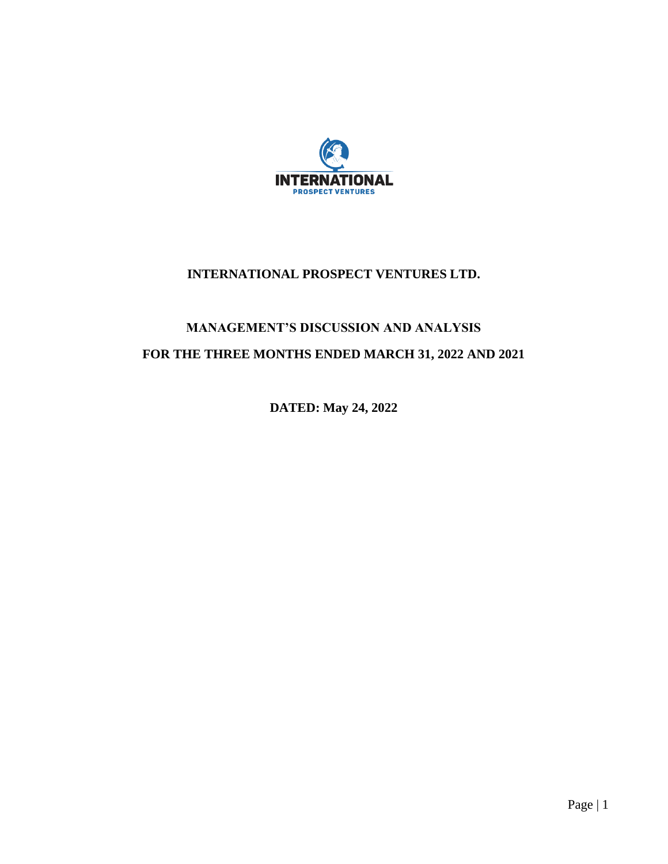

# **INTERNATIONAL PROSPECT VENTURES LTD.**

# **MANAGEMENT'S DISCUSSION AND ANALYSIS FOR THE THREE MONTHS ENDED MARCH 31, 2022 AND 2021**

**DATED: May 24, 2022**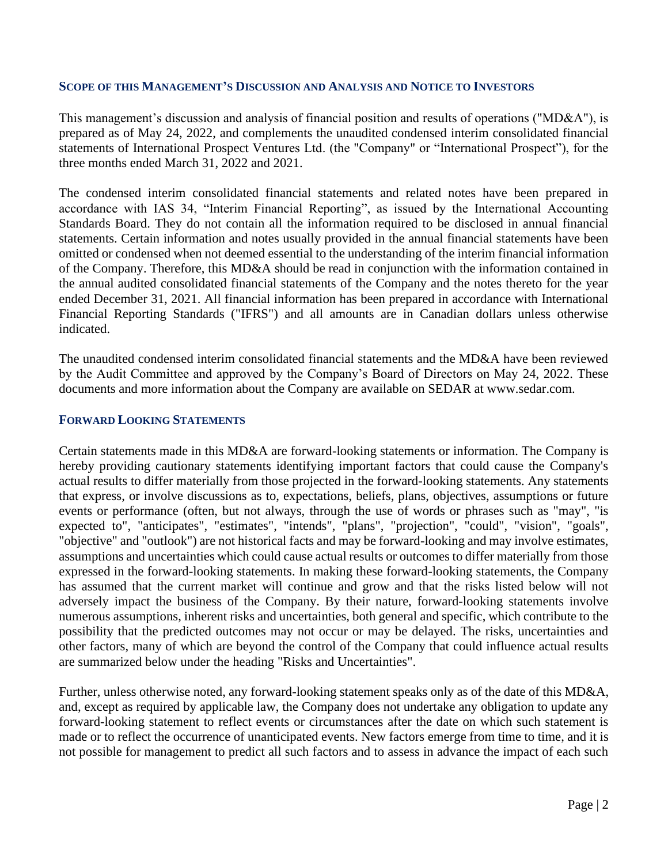#### **SCOPE OF THIS MANAGEMENT'S DISCUSSION AND ANALYSIS AND NOTICE TO INVESTORS**

This management's discussion and analysis of financial position and results of operations ("MD&A"), is prepared as of May 24, 2022, and complements the unaudited condensed interim consolidated financial statements of International Prospect Ventures Ltd. (the "Company" or "International Prospect"), for the three months ended March 31, 2022 and 2021.

The condensed interim consolidated financial statements and related notes have been prepared in accordance with IAS 34, "Interim Financial Reporting", as issued by the International Accounting Standards Board. They do not contain all the information required to be disclosed in annual financial statements. Certain information and notes usually provided in the annual financial statements have been omitted or condensed when not deemed essential to the understanding of the interim financial information of the Company. Therefore, this MD&A should be read in conjunction with the information contained in the annual audited consolidated financial statements of the Company and the notes thereto for the year ended December 31, 2021. All financial information has been prepared in accordance with International Financial Reporting Standards ("IFRS") and all amounts are in Canadian dollars unless otherwise indicated.

The unaudited condensed interim consolidated financial statements and the MD&A have been reviewed by the Audit Committee and approved by the Company's Board of Directors on May 24, 2022. These documents and more information about the Company are available on SEDAR at www.sedar.com.

#### **FORWARD LOOKING STATEMENTS**

Certain statements made in this MD&A are forward-looking statements or information. The Company is hereby providing cautionary statements identifying important factors that could cause the Company's actual results to differ materially from those projected in the forward-looking statements. Any statements that express, or involve discussions as to, expectations, beliefs, plans, objectives, assumptions or future events or performance (often, but not always, through the use of words or phrases such as "may", "is expected to", "anticipates", "estimates", "intends", "plans", "projection", "could", "vision", "goals", "objective" and "outlook") are not historical facts and may be forward-looking and may involve estimates, assumptions and uncertainties which could cause actual results or outcomes to differ materially from those expressed in the forward-looking statements. In making these forward-looking statements, the Company has assumed that the current market will continue and grow and that the risks listed below will not adversely impact the business of the Company. By their nature, forward-looking statements involve numerous assumptions, inherent risks and uncertainties, both general and specific, which contribute to the possibility that the predicted outcomes may not occur or may be delayed. The risks, uncertainties and other factors, many of which are beyond the control of the Company that could influence actual results are summarized below under the heading "Risks and Uncertainties".

Further, unless otherwise noted, any forward-looking statement speaks only as of the date of this MD&A, and, except as required by applicable law, the Company does not undertake any obligation to update any forward-looking statement to reflect events or circumstances after the date on which such statement is made or to reflect the occurrence of unanticipated events. New factors emerge from time to time, and it is not possible for management to predict all such factors and to assess in advance the impact of each such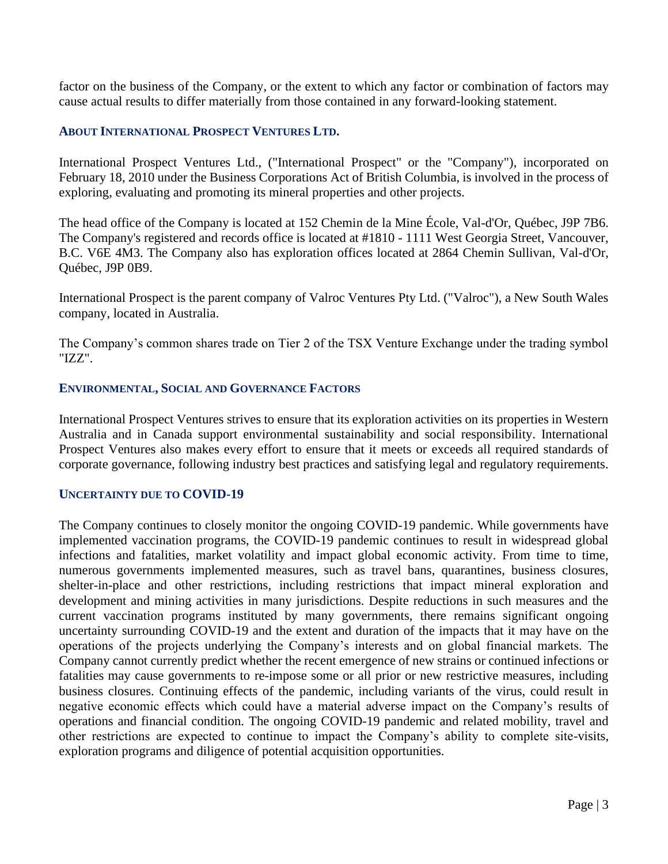factor on the business of the Company, or the extent to which any factor or combination of factors may cause actual results to differ materially from those contained in any forward-looking statement.

#### **ABOUT INTERNATIONAL PROSPECT VENTURES LTD.**

International Prospect Ventures Ltd., ("International Prospect" or the "Company"), incorporated on February 18, 2010 under the Business Corporations Act of British Columbia, is involved in the process of exploring, evaluating and promoting its mineral properties and other projects.

The head office of the Company is located at 152 Chemin de la Mine École, Val-d'Or, Québec, J9P 7B6. The Company's registered and records office is located at #1810 - 1111 West Georgia Street, Vancouver, B.C. V6E 4M3. The Company also has exploration offices located at 2864 Chemin Sullivan, Val-d'Or, Québec, J9P 0B9.

International Prospect is the parent company of Valroc Ventures Pty Ltd. ("Valroc"), a New South Wales company, located in Australia.

The Company's common shares trade on Tier 2 of the TSX Venture Exchange under the trading symbol "IZZ".

#### **ENVIRONMENTAL, SOCIAL AND GOVERNANCE FACTORS**

International Prospect Ventures strives to ensure that its exploration activities on its properties in Western Australia and in Canada support environmental sustainability and social responsibility. International Prospect Ventures also makes every effort to ensure that it meets or exceeds all required standards of corporate governance, following industry best practices and satisfying legal and regulatory requirements.

#### **UNCERTAINTY DUE TO COVID-19**

The Company continues to closely monitor the ongoing COVID-19 pandemic. While governments have implemented vaccination programs, the COVID-19 pandemic continues to result in widespread global infections and fatalities, market volatility and impact global economic activity. From time to time, numerous governments implemented measures, such as travel bans, quarantines, business closures, shelter-in-place and other restrictions, including restrictions that impact mineral exploration and development and mining activities in many jurisdictions. Despite reductions in such measures and the current vaccination programs instituted by many governments, there remains significant ongoing uncertainty surrounding COVID-19 and the extent and duration of the impacts that it may have on the operations of the projects underlying the Company's interests and on global financial markets. The Company cannot currently predict whether the recent emergence of new strains or continued infections or fatalities may cause governments to re-impose some or all prior or new restrictive measures, including business closures. Continuing effects of the pandemic, including variants of the virus, could result in negative economic effects which could have a material adverse impact on the Company's results of operations and financial condition. The ongoing COVID-19 pandemic and related mobility, travel and other restrictions are expected to continue to impact the Company's ability to complete site-visits, exploration programs and diligence of potential acquisition opportunities.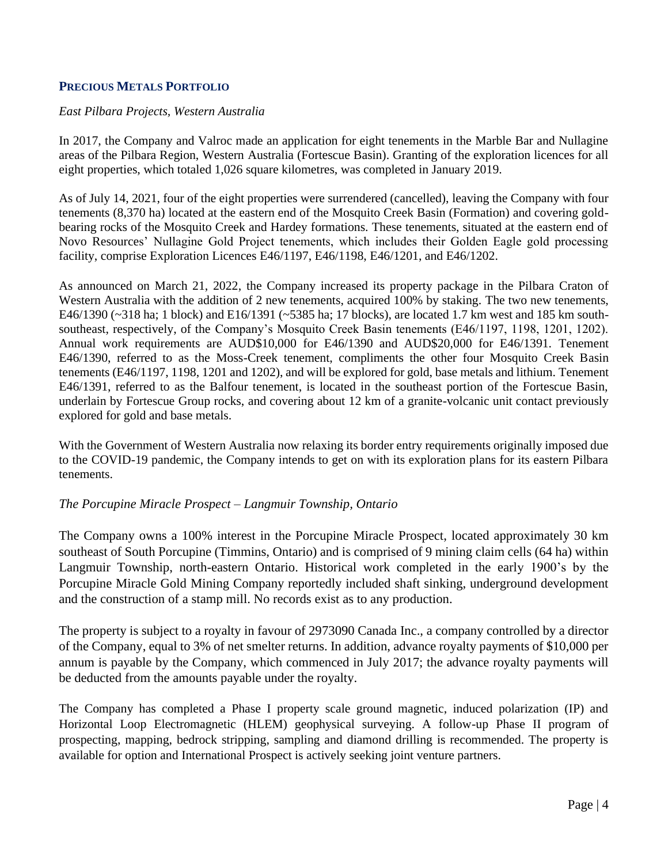## **PRECIOUS METALS PORTFOLIO**

#### *East Pilbara Projects, Western Australia*

In 2017, the Company and Valroc made an application for eight tenements in the Marble Bar and Nullagine areas of the Pilbara Region, Western Australia (Fortescue Basin). Granting of the exploration licences for all eight properties, which totaled 1,026 square kilometres, was completed in January 2019.

As of July 14, 2021, four of the eight properties were surrendered (cancelled), leaving the Company with four tenements (8,370 ha) located at the eastern end of the Mosquito Creek Basin (Formation) and covering goldbearing rocks of the Mosquito Creek and Hardey formations. These tenements, situated at the eastern end of Novo Resources' Nullagine Gold Project tenements, which includes their Golden Eagle gold processing facility, comprise Exploration Licences E46/1197, E46/1198, E46/1201, and E46/1202.

As announced on March 21, 2022, the Company increased its property package in the Pilbara Craton of Western Australia with the addition of 2 new tenements, acquired 100% by staking. The two new tenements, E46/1390 (~318 ha; 1 block) and E16/1391 (~5385 ha; 17 blocks), are located 1.7 km west and 185 km southsoutheast, respectively, of the Company's Mosquito Creek Basin tenements (E46/1197, 1198, 1201, 1202). Annual work requirements are AUD\$10,000 for E46/1390 and AUD\$20,000 for E46/1391. Tenement E46/1390, referred to as the Moss-Creek tenement, compliments the other four Mosquito Creek Basin tenements (E46/1197, 1198, 1201 and 1202), and will be explored for gold, base metals and lithium. Tenement E46/1391, referred to as the Balfour tenement, is located in the southeast portion of the Fortescue Basin, underlain by Fortescue Group rocks, and covering about 12 km of a granite-volcanic unit contact previously explored for gold and base metals.

With the Government of Western Australia now relaxing its border entry requirements originally imposed due to the COVID-19 pandemic, the Company intends to get on with its exploration plans for its eastern Pilbara tenements.

#### *The Porcupine Miracle Prospect – Langmuir Township, Ontario*

The Company owns a 100% interest in the Porcupine Miracle Prospect, located approximately 30 km southeast of South Porcupine (Timmins, Ontario) and is comprised of 9 mining claim cells (64 ha) within Langmuir Township, north-eastern Ontario. Historical work completed in the early 1900's by the Porcupine Miracle Gold Mining Company reportedly included shaft sinking, underground development and the construction of a stamp mill. No records exist as to any production.

The property is subject to a royalty in favour of 2973090 Canada Inc., a company controlled by a director of the Company, equal to 3% of net smelter returns. In addition, advance royalty payments of \$10,000 per annum is payable by the Company, which commenced in July 2017; the advance royalty payments will be deducted from the amounts payable under the royalty.

The Company has completed a Phase I property scale ground magnetic, induced polarization (IP) and Horizontal Loop Electromagnetic (HLEM) geophysical surveying. A follow-up Phase II program of prospecting, mapping, bedrock stripping, sampling and diamond drilling is recommended. The property is available for option and International Prospect is actively seeking joint venture partners.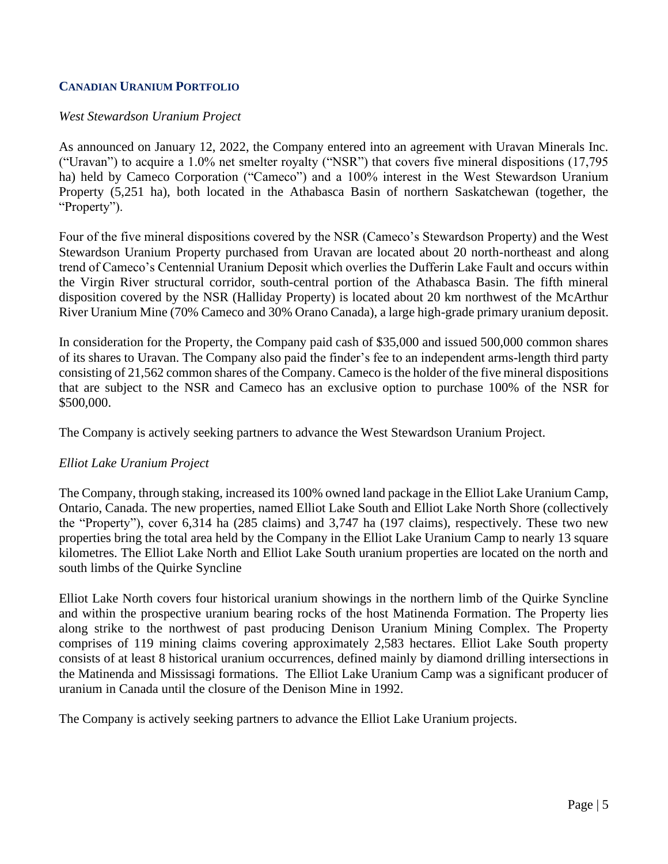# **CANADIAN URANIUM PORTFOLIO**

## *West Stewardson Uranium Project*

As announced on January 12, 2022, the Company entered into an agreement with Uravan Minerals Inc. ("Uravan") to acquire a 1.0% net smelter royalty ("NSR") that covers five mineral dispositions (17,795 ha) held by Cameco Corporation ("Cameco") and a 100% interest in the West Stewardson Uranium Property (5,251 ha), both located in the Athabasca Basin of northern Saskatchewan (together, the "Property").

Four of the five mineral dispositions covered by the NSR (Cameco's Stewardson Property) and the West Stewardson Uranium Property purchased from Uravan are located about 20 north-northeast and along trend of Cameco's Centennial Uranium Deposit which overlies the Dufferin Lake Fault and occurs within the Virgin River structural corridor, south-central portion of the Athabasca Basin. The fifth mineral disposition covered by the NSR (Halliday Property) is located about 20 km northwest of the McArthur River Uranium Mine (70% Cameco and 30% Orano Canada), a large high-grade primary uranium deposit.

In consideration for the Property, the Company paid cash of \$35,000 and issued 500,000 common shares of its shares to Uravan. The Company also paid the finder's fee to an independent arms-length third party consisting of 21,562 common shares of the Company. Cameco is the holder of the five mineral dispositions that are subject to the NSR and Cameco has an exclusive option to purchase 100% of the NSR for \$500,000.

The Company is actively seeking partners to advance the West Stewardson Uranium Project.

## *Elliot Lake Uranium Project*

The Company, through staking, increased its 100% owned land package in the Elliot Lake Uranium Camp, Ontario, Canada. The new properties, named Elliot Lake South and Elliot Lake North Shore (collectively the "Property"), cover 6,314 ha (285 claims) and 3,747 ha (197 claims), respectively. These two new properties bring the total area held by the Company in the Elliot Lake Uranium Camp to nearly 13 square kilometres. The Elliot Lake North and Elliot Lake South uranium properties are located on the north and south limbs of the Quirke Syncline

Elliot Lake North covers four historical uranium showings in the northern limb of the Quirke Syncline and within the prospective uranium bearing rocks of the host Matinenda Formation. The Property lies along strike to the northwest of past producing Denison Uranium Mining Complex. The Property comprises of 119 mining claims covering approximately 2,583 hectares. Elliot Lake South property consists of at least 8 historical uranium occurrences, defined mainly by diamond drilling intersections in the Matinenda and Mississagi formations. The Elliot Lake Uranium Camp was a significant producer of uranium in Canada until the closure of the Denison Mine in 1992.

The Company is actively seeking partners to advance the Elliot Lake Uranium projects.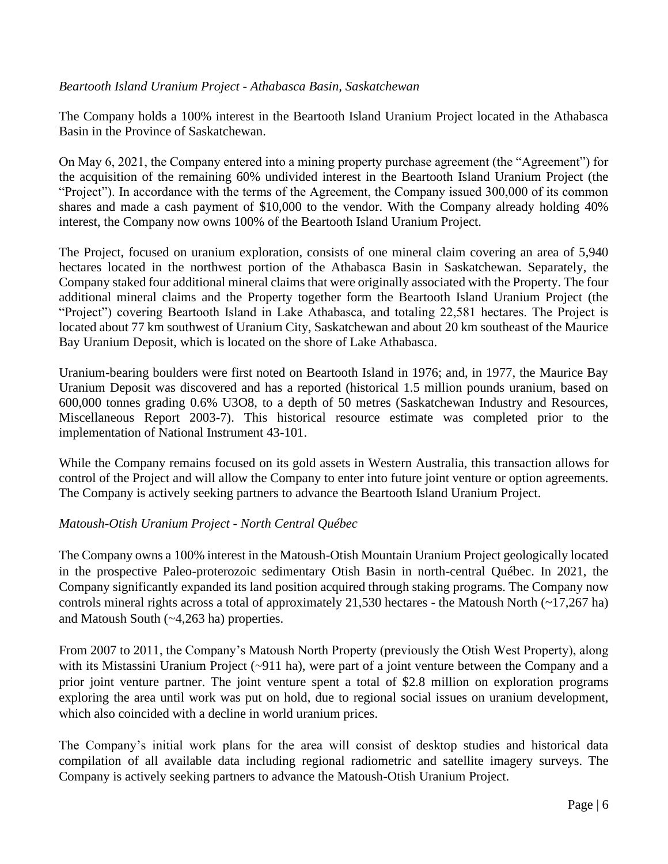# *Beartooth Island Uranium Project - Athabasca Basin, Saskatchewan*

The Company holds a 100% interest in the Beartooth Island Uranium Project located in the Athabasca Basin in the Province of Saskatchewan.

On May 6, 2021, the Company entered into a mining property purchase agreement (the "Agreement") for the acquisition of the remaining 60% undivided interest in the Beartooth Island Uranium Project (the "Project"). In accordance with the terms of the Agreement, the Company issued 300,000 of its common shares and made a cash payment of \$10,000 to the vendor. With the Company already holding 40% interest, the Company now owns 100% of the Beartooth Island Uranium Project.

The Project, focused on uranium exploration, consists of one mineral claim covering an area of 5,940 hectares located in the northwest portion of the Athabasca Basin in Saskatchewan. Separately, the Company staked four additional mineral claims that were originally associated with the Property. The four additional mineral claims and the Property together form the Beartooth Island Uranium Project (the "Project") covering Beartooth Island in Lake Athabasca, and totaling 22,581 hectares. The Project is located about 77 km southwest of Uranium City, Saskatchewan and about 20 km southeast of the Maurice Bay Uranium Deposit, which is located on the shore of Lake Athabasca.

Uranium-bearing boulders were first noted on Beartooth Island in 1976; and, in 1977, the Maurice Bay Uranium Deposit was discovered and has a reported (historical 1.5 million pounds uranium, based on 600,000 tonnes grading 0.6% U3O8, to a depth of 50 metres (Saskatchewan Industry and Resources, Miscellaneous Report 2003-7). This historical resource estimate was completed prior to the implementation of National Instrument 43-101.

While the Company remains focused on its gold assets in Western Australia, this transaction allows for control of the Project and will allow the Company to enter into future joint venture or option agreements. The Company is actively seeking partners to advance the Beartooth Island Uranium Project.

## *Matoush-Otish Uranium Project - North Central Québec*

The Company owns a 100% interest in the Matoush-Otish Mountain Uranium Project geologically located in the prospective Paleo-proterozoic sedimentary Otish Basin in north-central Québec. In 2021, the Company significantly expanded its land position acquired through staking programs. The Company now controls mineral rights across a total of approximately 21,530 hectares - the Matoush North (~17,267 ha) and Matoush South (~4,263 ha) properties.

From 2007 to 2011, the Company's Matoush North Property (previously the Otish West Property), along with its Mistassini Uranium Project (~911 ha), were part of a joint venture between the Company and a prior joint venture partner. The joint venture spent a total of \$2.8 million on exploration programs exploring the area until work was put on hold, due to regional social issues on uranium development, which also coincided with a decline in world uranium prices.

The Company's initial work plans for the area will consist of desktop studies and historical data compilation of all available data including regional radiometric and satellite imagery surveys. The Company is actively seeking partners to advance the Matoush-Otish Uranium Project.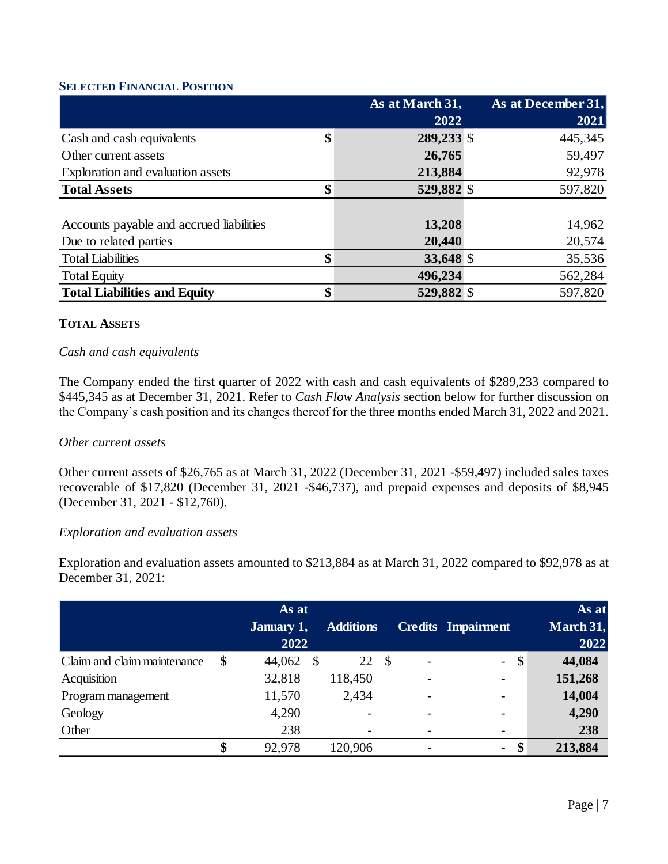## **SELECTED FINANCIAL POSITION**

|                                          | As at March 31,  | As at December 31, |
|------------------------------------------|------------------|--------------------|
|                                          | 2022             | 2021               |
| Cash and cash equivalents                | \$<br>289,233 \$ | 445,345            |
| Other current assets                     | 26,765           | 59,497             |
| Exploration and evaluation assets        | 213,884          | 92,978             |
| <b>Total Assets</b>                      | \$<br>529,882 \$ | 597,820            |
|                                          |                  |                    |
| Accounts payable and accrued liabilities | 13,208           | 14,962             |
| Due to related parties                   | 20,440           | 20,574             |
| <b>Total Liabilities</b>                 | \$<br>33,648 \$  | 35,536             |
| <b>Total Equity</b>                      | 496,234          | 562,284            |
| <b>Total Liabilities and Equity</b>      | \$<br>529,882 \$ | 597,820            |

## **TOTAL ASSETS**

# *Cash and cash equivalents*

The Company ended the first quarter of 2022 with cash and cash equivalents of \$289,233 compared to \$445,345 as at December 31, 2021. Refer to *Cash Flow Analysis* section below for further discussion on the Company's cash position and its changes thereof for the three months ended March 31, 2022 and 2021.

## *Other current assets*

Other current assets of \$26,765 as at March 31, 2022 (December 31, 2021 -\$59,497) included sales taxes recoverable of \$17,820 (December 31, 2021 -\$46,737), and prepaid expenses and deposits of \$8,945 (December 31, 2021 - \$12,760).

#### *Exploration and evaluation assets*

Exploration and evaluation assets amounted to \$213,884 as at March 31, 2022 compared to \$92,978 as at December 31, 2021:

|                             | As at<br><b>January 1,</b><br>2022 |    | <b>Additions</b> |      |                          | <b>Credits Impairment</b> | As at<br>March 31,<br>2022 |
|-----------------------------|------------------------------------|----|------------------|------|--------------------------|---------------------------|----------------------------|
| Claim and claim maintenance | \$<br>44,062                       | -S | 22               | - \$ |                          | $\frac{1}{2}$             | \$<br>44,084               |
| Acquisition                 | 32,818                             |    | 118,450          |      | $\overline{\phantom{a}}$ | $\overline{\phantom{a}}$  | 151,268                    |
| Program management          | 11,570                             |    | 2,434            |      | $\overline{\phantom{a}}$ | $\overline{\phantom{a}}$  | 14,004                     |
| Geology                     | 4,290                              |    |                  |      | -                        | $\overline{\phantom{a}}$  | 4,290                      |
| Other                       | 238                                |    |                  |      |                          | -                         | 238                        |
|                             | \$<br>92,978                       |    | 120,906          |      |                          | $\overline{\phantom{a}}$  | \$<br>213,884              |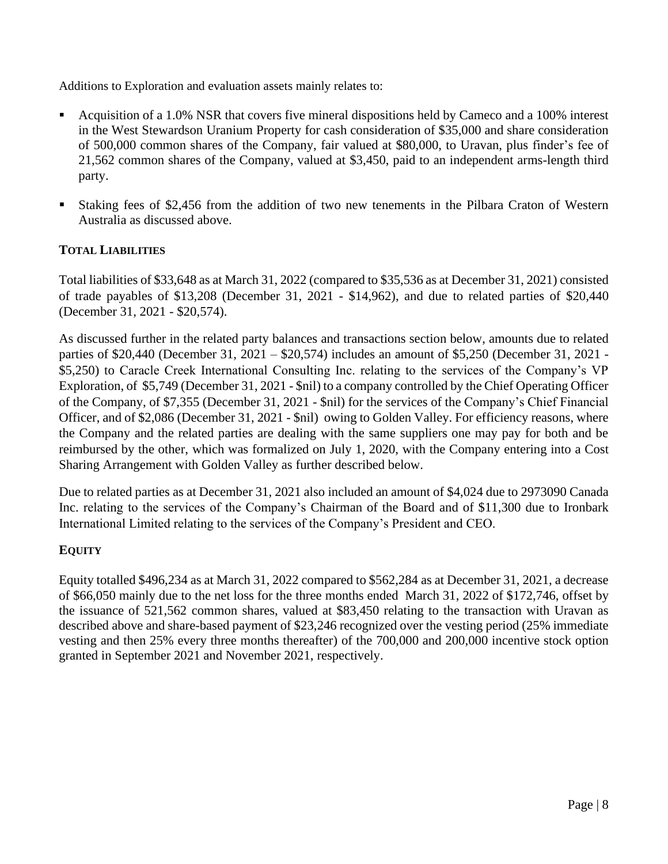Additions to Exploration and evaluation assets mainly relates to:

- Acquisition of a 1.0% NSR that covers five mineral dispositions held by Cameco and a 100% interest in the West Stewardson Uranium Property for cash consideration of \$35,000 and share consideration of 500,000 common shares of the Company, fair valued at \$80,000, to Uravan, plus finder's fee of 21,562 common shares of the Company, valued at \$3,450, paid to an independent arms-length third party.
- Staking fees of \$2,456 from the addition of two new tenements in the Pilbara Craton of Western Australia as discussed above.

# **TOTAL LIABILITIES**

Total liabilities of \$33,648 as at March 31, 2022 (compared to \$35,536 as at December 31, 2021) consisted of trade payables of \$13,208 (December 31, 2021 - \$14,962), and due to related parties of \$20,440 (December 31, 2021 - \$20,574).

As discussed further in the related party balances and transactions section below, amounts due to related parties of \$20,440 (December 31, 2021 – \$20,574) includes an amount of \$5,250 (December 31, 2021 - \$5,250) to Caracle Creek International Consulting Inc. relating to the services of the Company's VP Exploration, of \$5,749 (December 31, 2021 - \$nil) to a company controlled by the Chief Operating Officer of the Company, of \$7,355 (December 31, 2021 - \$nil) for the services of the Company's Chief Financial Officer, and of \$2,086 (December 31, 2021 - \$nil) owing to Golden Valley. For efficiency reasons, where the Company and the related parties are dealing with the same suppliers one may pay for both and be reimbursed by the other, which was formalized on July 1, 2020, with the Company entering into a Cost Sharing Arrangement with Golden Valley as further described below.

Due to related parties as at December 31, 2021 also included an amount of \$4,024 due to 2973090 Canada Inc. relating to the services of the Company's Chairman of the Board and of \$11,300 due to Ironbark International Limited relating to the services of the Company's President and CEO.

# **EQUITY**

Equity totalled \$496,234 as at March 31, 2022 compared to \$562,284 as at December 31, 2021, a decrease of \$66,050 mainly due to the net loss for the three months ended March 31, 2022 of \$172,746, offset by the issuance of 521,562 common shares, valued at \$83,450 relating to the transaction with Uravan as described above and share-based payment of \$23,246 recognized over the vesting period (25% immediate vesting and then 25% every three months thereafter) of the 700,000 and 200,000 incentive stock option granted in September 2021 and November 2021, respectively.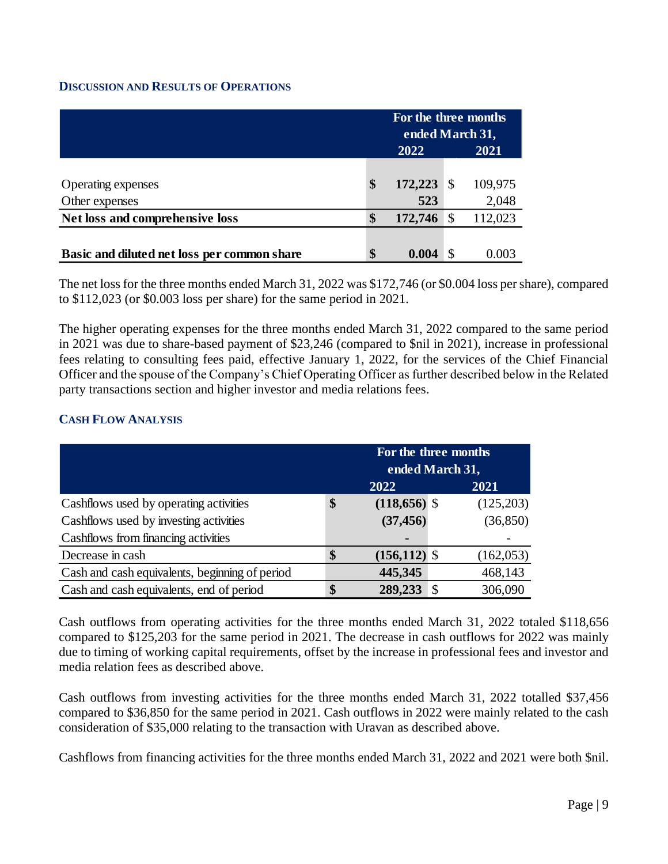# **DISCUSSION AND RESULTS OF OPERATIONS**

|                                             | For the three months<br>ended March 31, |  |         |  |  |  |  |
|---------------------------------------------|-----------------------------------------|--|---------|--|--|--|--|
|                                             | 2022<br>2021                            |  |         |  |  |  |  |
|                                             |                                         |  |         |  |  |  |  |
| Operating expenses                          | \$<br>172,223                           |  | 109,975 |  |  |  |  |
| Other expenses                              | 523                                     |  | 2,048   |  |  |  |  |
| Net loss and comprehensive loss             | \$<br>172,746                           |  | 112,023 |  |  |  |  |
|                                             |                                         |  |         |  |  |  |  |
| Basic and diluted net loss per common share | \$<br>0.004                             |  | 0.003   |  |  |  |  |

The net loss for the three months ended March 31, 2022 was \$172,746 (or \$0.004 loss per share), compared to \$112,023 (or \$0.003 loss per share) for the same period in 2021.

The higher operating expenses for the three months ended March 31, 2022 compared to the same period in 2021 was due to share-based payment of \$23,246 (compared to \$nil in 2021), increase in professional fees relating to consulting fees paid, effective January 1, 2022, for the services of the Chief Financial Officer and the spouse of the Company's Chief Operating Officer as further described below in the Related party transactions section and higher investor and media relations fees.

# **CASH FLOW ANALYSIS**

|                                                | For the three months  |    |            |  |  |  |  |  |
|------------------------------------------------|-----------------------|----|------------|--|--|--|--|--|
|                                                | ended March 31,       |    |            |  |  |  |  |  |
|                                                | 2022                  |    | 2021       |  |  |  |  |  |
| Cashflows used by operating activities         | \$<br>$(118,656)$ \$  |    | (125,203)  |  |  |  |  |  |
| Cashflows used by investing activities         | (37, 456)             |    | (36, 850)  |  |  |  |  |  |
| Cashflows from financing activities            |                       |    |            |  |  |  |  |  |
| Decrease in cash                               | \$<br>$(156, 112)$ \$ |    | (162, 053) |  |  |  |  |  |
| Cash and cash equivalents, beginning of period | 445,345               |    | 468,143    |  |  |  |  |  |
| Cash and cash equivalents, end of period       | 289,233               | £. | 306,090    |  |  |  |  |  |

Cash outflows from operating activities for the three months ended March 31, 2022 totaled \$118,656 compared to \$125,203 for the same period in 2021. The decrease in cash outflows for 2022 was mainly due to timing of working capital requirements, offset by the increase in professional fees and investor and media relation fees as described above.

Cash outflows from investing activities for the three months ended March 31, 2022 totalled \$37,456 compared to \$36,850 for the same period in 2021. Cash outflows in 2022 were mainly related to the cash consideration of \$35,000 relating to the transaction with Uravan as described above.

Cashflows from financing activities for the three months ended March 31, 2022 and 2021 were both \$nil.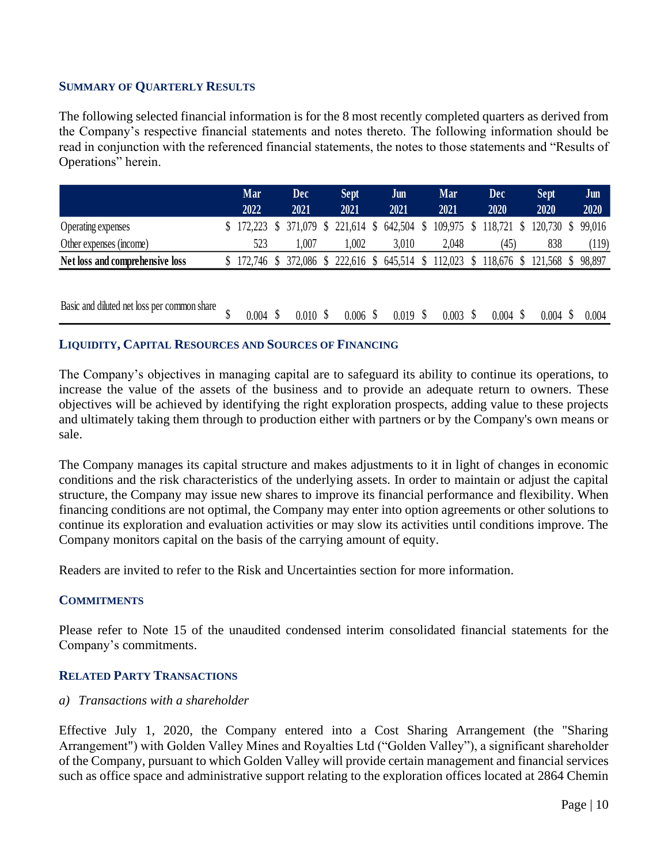#### **SUMMARY OF QUARTERLY RESULTS**

The following selected financial information is for the 8 most recently completed quarters as derived from the Company's respective financial statements and notes thereto. The following information should be read in conjunction with the referenced financial statements, the notes to those statements and "Results of Operations" herein.

|                                 | Mar<br>2022 | Dec<br>2021 | Sept.<br>2021                              | Jun<br>2021 | Mar<br>2021 |              | Dec<br>2020           | <b>Sept</b><br>2020 | Jun<br>2020 |
|---------------------------------|-------------|-------------|--------------------------------------------|-------------|-------------|--------------|-----------------------|---------------------|-------------|
| Operating expenses              |             |             | \$172,223 \$371,079 \$221,614 \$642,504 \$ |             | 109,975 \$  |              | 118,721 \$            | 120,730 \$ 99,016   |             |
| Other expenses (income)         | 523         | .007        | .002                                       | 3.010       | 2,048       |              | (45)                  | 838                 | (119)       |
| Net loss and comprehensive loss | 172.746 \$  |             | 372,086 \$ 222,616 \$ 645,514 \$           |             | 112,023     | <sup>S</sup> | 118,676 \$ 121,568 \$ |                     | 98.897      |

| Basic and diluted net loss per common share |  | $0.004$ \$ $0.010$ \$ $0.006$ \$ $0.019$ \$ $0.003$ \$ $0.004$ \$ $0.004$ \$ $0.004$ |  |  |  |
|---------------------------------------------|--|--------------------------------------------------------------------------------------|--|--|--|
|                                             |  |                                                                                      |  |  |  |

#### **LIQUIDITY, CAPITAL RESOURCES AND SOURCES OF FINANCING**

The Company's objectives in managing capital are to safeguard its ability to continue its operations, to increase the value of the assets of the business and to provide an adequate return to owners. These objectives will be achieved by identifying the right exploration prospects, adding value to these projects and ultimately taking them through to production either with partners or by the Company's own means or sale.

The Company manages its capital structure and makes adjustments to it in light of changes in economic conditions and the risk characteristics of the underlying assets. In order to maintain or adjust the capital structure, the Company may issue new shares to improve its financial performance and flexibility. When financing conditions are not optimal, the Company may enter into option agreements or other solutions to continue its exploration and evaluation activities or may slow its activities until conditions improve. The Company monitors capital on the basis of the carrying amount of equity.

Readers are invited to refer to the Risk and Uncertainties section for more information.

## **COMMITMENTS**

Please refer to Note 15 of the unaudited condensed interim consolidated financial statements for the Company's commitments.

## **RELATED PARTY TRANSACTIONS**

#### *a) Transactions with a shareholder*

Effective July 1, 2020, the Company entered into a Cost Sharing Arrangement (the "Sharing Arrangement") with Golden Valley Mines and Royalties Ltd ("Golden Valley"), a significant shareholder of the Company, pursuant to which Golden Valley will provide certain management and financial services such as office space and administrative support relating to the exploration offices located at 2864 Chemin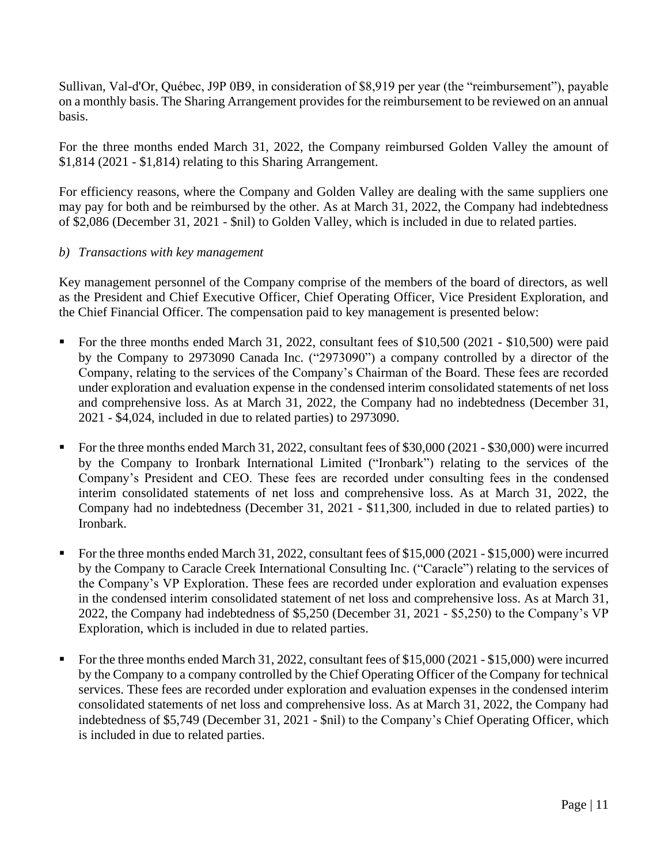Sullivan, Val-d'Or, Québec, J9P 0B9, in consideration of \$8,919 per year (the "reimbursement"), payable on a monthly basis. The Sharing Arrangement provides for the reimbursement to be reviewed on an annual basis.

For the three months ended March 31, 2022, the Company reimbursed Golden Valley the amount of \$1,814 (2021 - \$1,814) relating to this Sharing Arrangement.

For efficiency reasons, where the Company and Golden Valley are dealing with the same suppliers one may pay for both and be reimbursed by the other. As at March 31, 2022, the Company had indebtedness of \$2,086 (December 31, 2021 - \$nil) to Golden Valley, which is included in due to related parties.

# *b) Transactions with key management*

Key management personnel of the Company comprise of the members of the board of directors, as well as the President and Chief Executive Officer, Chief Operating Officer, Vice President Exploration, and the Chief Financial Officer. The compensation paid to key management is presented below:

- For the three months ended March 31, 2022, consultant fees of \$10,500 (2021 \$10,500) were paid by the Company to 2973090 Canada Inc. ("2973090") a company controlled by a director of the Company, relating to the services of the Company's Chairman of the Board. These fees are recorded under exploration and evaluation expense in the condensed interim consolidated statements of net loss and comprehensive loss. As at March 31, 2022, the Company had no indebtedness (December 31, 2021 - \$4,024, included in due to related parties) to 2973090.
- For the three months ended March 31, 2022, consultant fees of \$30,000 (2021 \$30,000) were incurred by the Company to Ironbark International Limited ("Ironbark") relating to the services of the Company's President and CEO. These fees are recorded under consulting fees in the condensed interim consolidated statements of net loss and comprehensive loss. As at March 31, 2022, the Company had no indebtedness (December 31, 2021 - \$11,300, included in due to related parties) to Ironbark.
- For the three months ended March 31, 2022, consultant fees of \$15,000 (2021 \$15,000) were incurred by the Company to Caracle Creek International Consulting Inc. ("Caracle") relating to the services of the Company's VP Exploration. These fees are recorded under exploration and evaluation expenses in the condensed interim consolidated statement of net loss and comprehensive loss. As at March 31, 2022, the Company had indebtedness of \$5,250 (December 31, 2021 - \$5,250) to the Company's VP Exploration, which is included in due to related parties.
- For the three months ended March 31, 2022, consultant fees of \$15,000 (2021 \$15,000) were incurred by the Company to a company controlled by the Chief Operating Officer of the Company for technical services. These fees are recorded under exploration and evaluation expenses in the condensed interim consolidated statements of net loss and comprehensive loss. As at March 31, 2022, the Company had indebtedness of \$5,749 (December 31, 2021 - \$nil) to the Company's Chief Operating Officer, which is included in due to related parties.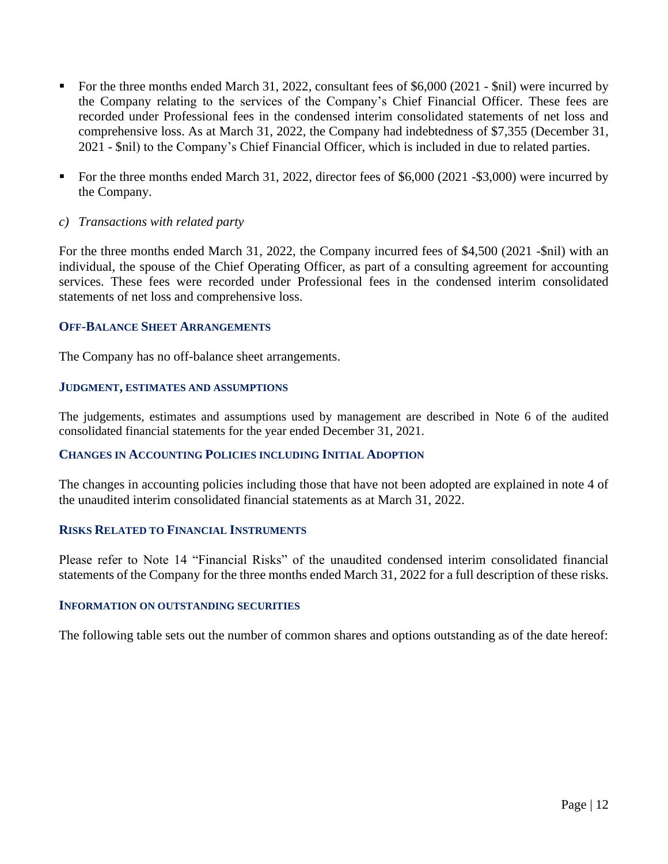- For the three months ended March 31, 2022, consultant fees of \$6,000 (2021 \$nil) were incurred by the Company relating to the services of the Company's Chief Financial Officer. These fees are recorded under Professional fees in the condensed interim consolidated statements of net loss and comprehensive loss. As at March 31, 2022, the Company had indebtedness of \$7,355 (December 31, 2021 - \$nil) to the Company's Chief Financial Officer, which is included in due to related parties.
- For the three months ended March 31, 2022, director fees of \$6,000 (2021 -\$3,000) were incurred by the Company.
- *c) Transactions with related party*

For the three months ended March 31, 2022, the Company incurred fees of \$4,500 (2021 -\$nil) with an individual, the spouse of the Chief Operating Officer, as part of a consulting agreement for accounting services. These fees were recorded under Professional fees in the condensed interim consolidated statements of net loss and comprehensive loss.

# **OFF-BALANCE SHEET ARRANGEMENTS**

The Company has no off-balance sheet arrangements.

#### **JUDGMENT, ESTIMATES AND ASSUMPTIONS**

The judgements, estimates and assumptions used by management are described in Note 6 of the audited consolidated financial statements for the year ended December 31, 2021.

## **CHANGES IN ACCOUNTING POLICIES INCLUDING INITIAL ADOPTION**

The changes in accounting policies including those that have not been adopted are explained in note 4 of the unaudited interim consolidated financial statements as at March 31, 2022.

## **RISKS RELATED TO FINANCIAL INSTRUMENTS**

Please refer to Note 14 "Financial Risks" of the unaudited condensed interim consolidated financial statements of the Company for the three months ended March 31, 2022 for a full description of these risks.

#### **INFORMATION ON OUTSTANDING SECURITIES**

The following table sets out the number of common shares and options outstanding as of the date hereof: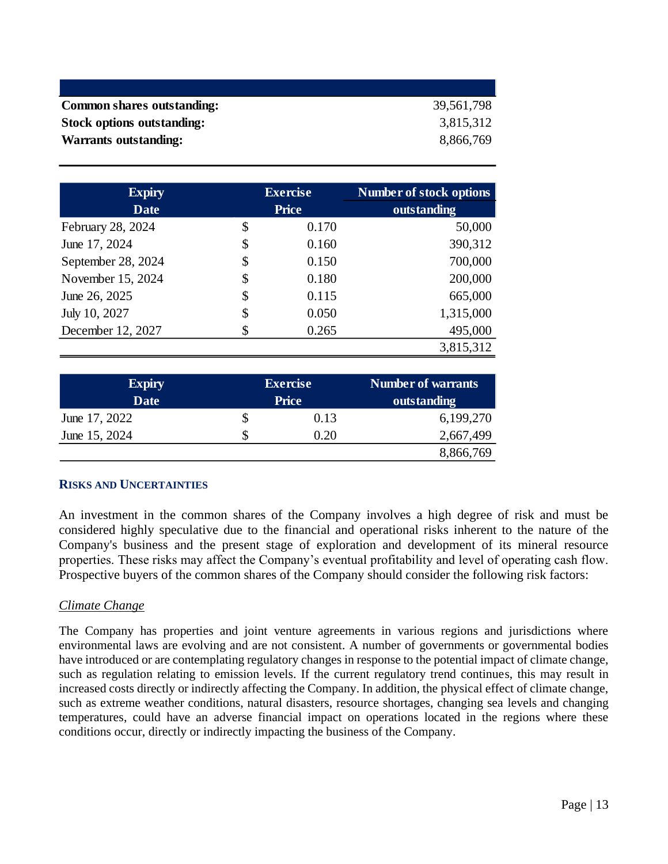| <b>Common shares outstanding:</b> | 39,561,798 |
|-----------------------------------|------------|
| Stock options outstanding:        | 3,815,312  |
| <b>Warrants outstanding:</b>      | 8,866,769  |

| <b>Expiry</b>      | <b>Exercise</b> | <b>Number of stock options</b> |  |  |  |  |
|--------------------|-----------------|--------------------------------|--|--|--|--|
| <b>Date</b>        | <b>Price</b>    | outstanding                    |  |  |  |  |
| February 28, 2024  | \$<br>0.170     | 50,000                         |  |  |  |  |
| June 17, 2024      | \$<br>0.160     | 390,312                        |  |  |  |  |
| September 28, 2024 | \$<br>0.150     | 700,000                        |  |  |  |  |
| November 15, 2024  | \$<br>0.180     | 200,000                        |  |  |  |  |
| June 26, 2025      | \$<br>0.115     | 665,000                        |  |  |  |  |
| July 10, 2027      | \$<br>0.050     | 1,315,000                      |  |  |  |  |
| December 12, 2027  | \$<br>0.265     | 495,000                        |  |  |  |  |
|                    |                 | 3,815,312                      |  |  |  |  |

| <b>Expiry</b><br><b>Date</b> | <b>Exercise</b><br><b>Price</b> | <b>Number of warrants</b><br>outstanding |
|------------------------------|---------------------------------|------------------------------------------|
| June 17, 2022                | 0.13                            | 6,199,270                                |
| June 15, 2024                | 0.20                            | 2,667,499                                |
|                              |                                 | 8,866,769                                |

## **RISKS AND UNCERTAINTIES**

An investment in the common shares of the Company involves a high degree of risk and must be considered highly speculative due to the financial and operational risks inherent to the nature of the Company's business and the present stage of exploration and development of its mineral resource properties. These risks may affect the Company's eventual profitability and level of operating cash flow. Prospective buyers of the common shares of the Company should consider the following risk factors:

## *Climate Change*

The Company has properties and joint venture agreements in various regions and jurisdictions where environmental laws are evolving and are not consistent. A number of governments or governmental bodies have introduced or are contemplating regulatory changes in response to the potential impact of climate change, such as regulation relating to emission levels. If the current regulatory trend continues, this may result in increased costs directly or indirectly affecting the Company. In addition, the physical effect of climate change, such as extreme weather conditions, natural disasters, resource shortages, changing sea levels and changing temperatures, could have an adverse financial impact on operations located in the regions where these conditions occur, directly or indirectly impacting the business of the Company.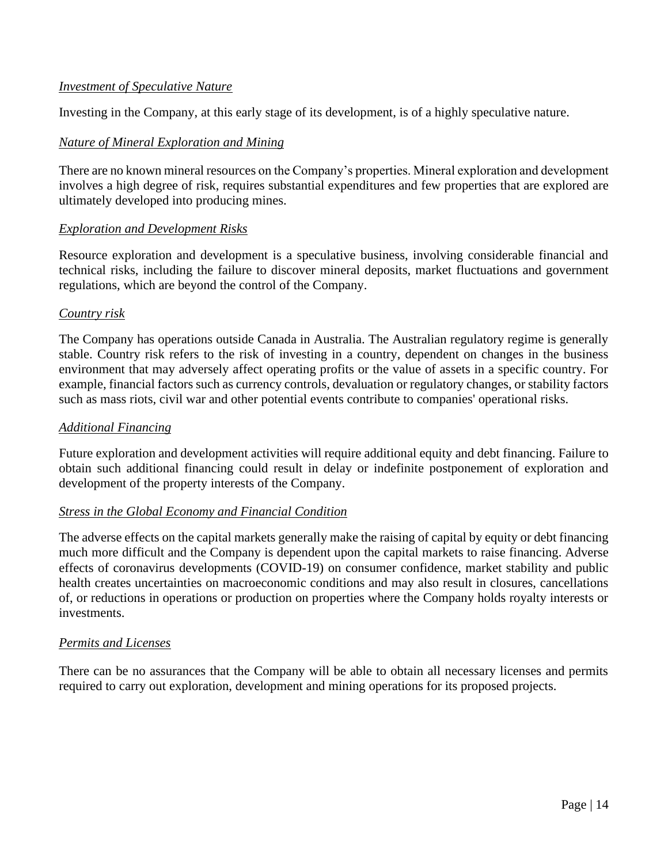# *Investment of Speculative Nature*

Investing in the Company, at this early stage of its development, is of a highly speculative nature.

## *Nature of Mineral Exploration and Mining*

There are no known mineral resources on the Company's properties. Mineral exploration and development involves a high degree of risk, requires substantial expenditures and few properties that are explored are ultimately developed into producing mines.

## *Exploration and Development Risks*

Resource exploration and development is a speculative business, involving considerable financial and technical risks, including the failure to discover mineral deposits, market fluctuations and government regulations, which are beyond the control of the Company.

# *Country risk*

The Company has operations outside Canada in Australia. The Australian regulatory regime is generally stable. Country risk refers to the risk of investing in a country, dependent on changes in the business environment that may adversely affect operating profits or the value of assets in a specific country. For example, financial factors such as currency controls, devaluation or regulatory changes, or stability factors such as mass riots, civil war and other potential events contribute to companies' operational risks.

## *Additional Financing*

Future exploration and development activities will require additional equity and debt financing. Failure to obtain such additional financing could result in delay or indefinite postponement of exploration and development of the property interests of the Company.

## *Stress in the Global Economy and Financial Condition*

The adverse effects on the capital markets generally make the raising of capital by equity or debt financing much more difficult and the Company is dependent upon the capital markets to raise financing. Adverse effects of coronavirus developments (COVID-19) on consumer confidence, market stability and public health creates uncertainties on macroeconomic conditions and may also result in closures, cancellations of, or reductions in operations or production on properties where the Company holds royalty interests or investments.

## *Permits and Licenses*

There can be no assurances that the Company will be able to obtain all necessary licenses and permits required to carry out exploration, development and mining operations for its proposed projects.